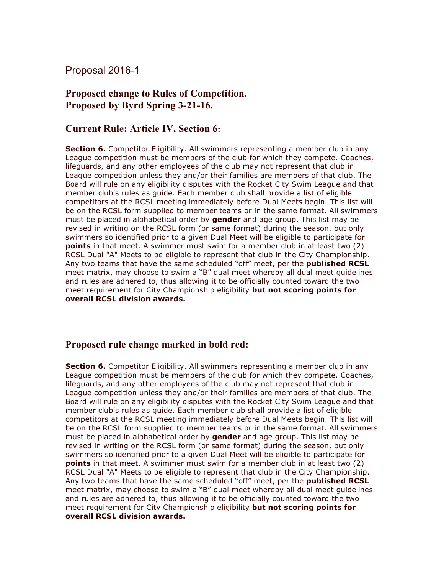## Proposal 2016-1

## **Proposed change to Rules of Competition. Proposed by Byrd Spring 3-21-16.**

## **Current Rule: Article IV, Section 6:**

**Section 6.** Competitor Eligibility. All swimmers representing a member club in any League competition must be members of the club for which they compete. Coaches, lifeguards, and any other employees of the club may not represent that club in League competition unless they and/or their families are members of that club. The Board will rule on any eligibility disputes with the Rocket City Swim League and that member club's rules as guide. Each member club shall provide a list of eligible competitors at the RCSL meeting immediately before Dual Meets begin. This list will be on the RCSL form supplied to member teams or in the same format. All swimmers must be placed in alphabetical order by **gender** and age group. This list may be revised in writing on the RCSL form (or same format) during the season, but only swimmers so identified prior to a given Dual Meet will be eligible to participate for **points** in that meet. A swimmer must swim for a member club in at least two (2) RCSL Dual "A" Meets to be eligible to represent that club in the City Championship. Any two teams that have the same scheduled "off" meet, per the **published RCSL**  meet matrix, may choose to swim a "B" dual meet whereby all dual meet guidelines and rules are adhered to, thus allowing it to be officially counted toward the two meet requirement for City Championship eligibility **but not scoring points for overall RCSL division awards.**

## **Proposed rule change marked in bold red:**

**Section 6.** Competitor Eligibility. All swimmers representing a member club in any League competition must be members of the club for which they compete. Coaches, lifeguards, and any other employees of the club may not represent that club in League competition unless they and/or their families are members of that club. The Board will rule on any eligibility disputes with the Rocket City Swim League and that member club's rules as guide. Each member club shall provide a list of eligible competitors at the RCSL meeting immediately before Dual Meets begin. This list will be on the RCSL form supplied to member teams or in the same format. All swimmers must be placed in alphabetical order by **gender** and age group. This list may be revised in writing on the RCSL form (or same format) during the season, but only swimmers so identified prior to a given Dual Meet will be eligible to participate for **points** in that meet. A swimmer must swim for a member club in at least two (2) RCSL Dual "A" Meets to be eligible to represent that club in the City Championship. Any two teams that have the same scheduled "off" meet, per the **published RCSL**  meet matrix, may choose to swim a "B" dual meet whereby all dual meet guidelines and rules are adhered to, thus allowing it to be officially counted toward the two meet requirement for City Championship eligibility **but not scoring points for overall RCSL division awards.**